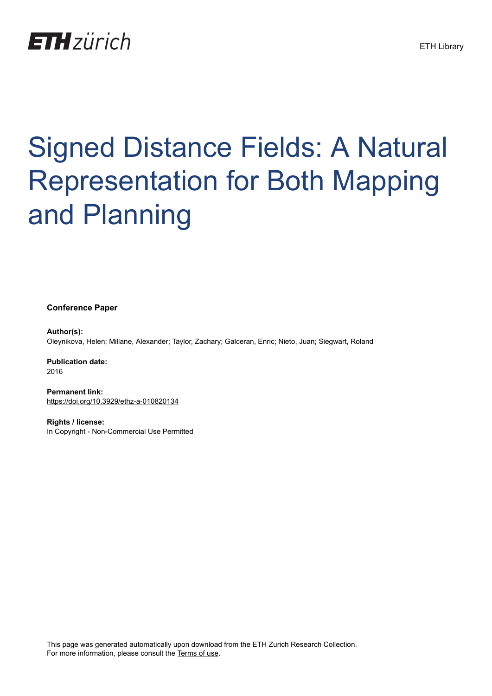

# Signed Distance Fields: A Natural Representation for Both Mapping and Planning

**Conference Paper**

**Author(s):** Oleynikova, Helen; Millane, Alexander; Taylor, Zachary; Galceran, Enric; Nieto, Juan; Siegwart, Roland

**Publication date:** 2016

**Permanent link:** <https://doi.org/10.3929/ethz-a-010820134>

**Rights / license:** [In Copyright - Non-Commercial Use Permitted](http://rightsstatements.org/page/InC-NC/1.0/)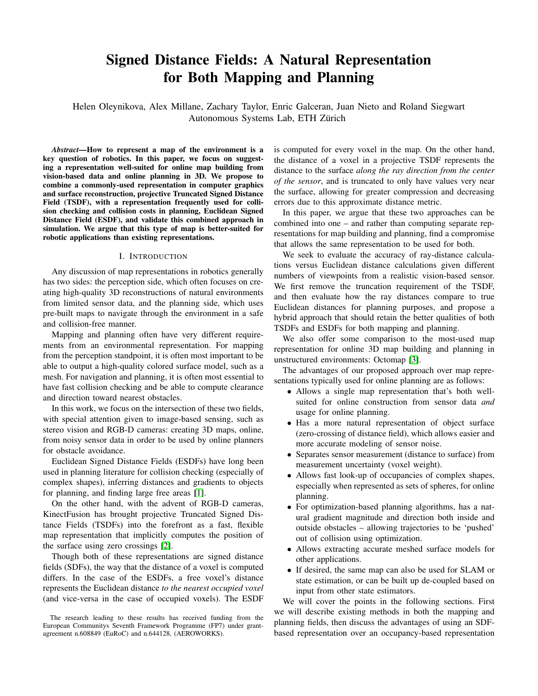# Signed Distance Fields: A Natural Representation for Both Mapping and Planning

Helen Oleynikova, Alex Millane, Zachary Taylor, Enric Galceran, Juan Nieto and Roland Siegwart Autonomous Systems Lab, ETH Zürich

*Abstract*—How to represent a map of the environment is a key question of robotics. In this paper, we focus on suggesting a representation well-suited for online map building from vision-based data and online planning in 3D. We propose to combine a commonly-used representation in computer graphics and surface reconstruction, projective Truncated Signed Distance Field (TSDF), with a representation frequently used for collision checking and collision costs in planning, Euclidean Signed Distance Field (ESDF), and validate this combined approach in simulation. We argue that this type of map is better-suited for robotic applications than existing representations.

### I. INTRODUCTION

Any discussion of map representations in robotics generally has two sides: the perception side, which often focuses on creating high-quality 3D reconstructions of natural environments from limited sensor data, and the planning side, which uses pre-built maps to navigate through the environment in a safe and collision-free manner.

Mapping and planning often have very different requirements from an environmental representation. For mapping from the perception standpoint, it is often most important to be able to output a high-quality colored surface model, such as a mesh. For navigation and planning, it is often most essential to have fast collision checking and be able to compute clearance and direction toward nearest obstacles.

In this work, we focus on the intersection of these two fields, with special attention given to image-based sensing, such as stereo vision and RGB-D cameras: creating 3D maps, online, from noisy sensor data in order to be used by online planners for obstacle avoidance.

Euclidean Signed Distance Fields (ESDFs) have long been used in planning literature for collision checking (especially of complex shapes), inferring distances and gradients to objects for planning, and finding large free areas [\[1\]](#page-5-0).

On the other hand, with the advent of RGB-D cameras, KinectFusion has brought projective Truncated Signed Distance Fields (TSDFs) into the forefront as a fast, flexible map representation that implicitly computes the position of the surface using zero crossings [\[2\]](#page-5-1).

Though both of these representations are signed distance fields (SDFs), the way that the distance of a voxel is computed differs. In the case of the ESDFs, a free voxel's distance represents the Euclidean distance *to the nearest occupied voxel* (and vice-versa in the case of occupied voxels). The ESDF is computed for every voxel in the map. On the other hand, the distance of a voxel in a projective TSDF represents the distance to the surface *along the ray direction from the center of the sensor*, and is truncated to only have values very near the surface, allowing for greater compression and decreasing errors due to this approximate distance metric.

In this paper, we argue that these two approaches can be combined into one – and rather than computing separate representations for map building and planning, find a compromise that allows the same representation to be used for both.

We seek to evaluate the accuracy of ray-distance calculations versus Euclidean distance calculations given different numbers of viewpoints from a realistic vision-based sensor. We first remove the truncation requirement of the TSDF, and then evaluate how the ray distances compare to true Euclidean distances for planning purposes, and propose a hybrid approach that should retain the better qualities of both TSDFs and ESDFs for both mapping and planning.

We also offer some comparison to the most-used map representation for online 3D map building and planning in unstructured environments: Octomap [\[3\]](#page-5-2).

The advantages of our proposed approach over map representations typically used for online planning are as follows:

- Allows a single map representation that's both wellsuited for online construction from sensor data *and* usage for online planning.
- Has a more natural representation of object surface (zero-crossing of distance field), which allows easier and more accurate modeling of sensor noise.
- Separates sensor measurement (distance to surface) from measurement uncertainty (voxel weight).
- Allows fast look-up of occupancies of complex shapes, especially when represented as sets of spheres, for online planning.
- For optimization-based planning algorithms, has a natural gradient magnitude and direction both inside and outside obstacles – allowing trajectories to be 'pushed' out of collision using optimization.
- Allows extracting accurate meshed surface models for other applications.
- If desired, the same map can also be used for SLAM or state estimation, or can be built up de-coupled based on input from other state estimators.

We will cover the points in the following sections. First we will describe existing methods in both the mapping and planning fields, then discuss the advantages of using an SDFbased representation over an occupancy-based representation

The research leading to these results has received funding from the European Communitys Seventh Framework Programme (FP7) under grantagreement n.608849 (EuRoC) and n.644128, (AEROWORKS).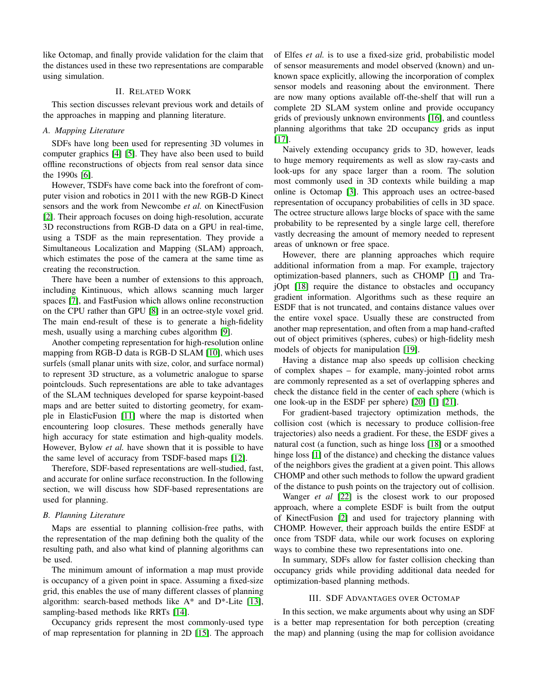like Octomap, and finally provide validation for the claim that the distances used in these two representations are comparable using simulation.

# II. RELATED WORK

This section discusses relevant previous work and details of the approaches in mapping and planning literature.

# *A. Mapping Literature*

SDFs have long been used for representing 3D volumes in computer graphics [\[4\]](#page-5-3) [\[5\]](#page-5-4). They have also been used to build offline reconstructions of objects from real sensor data since the 1990s [\[6\]](#page-5-5).

However, TSDFs have come back into the forefront of computer vision and robotics in 2011 with the new RGB-D Kinect sensors and the work from Newcombe *et al.* on KinectFusion [\[2\]](#page-5-1). Their approach focuses on doing high-resolution, accurate 3D reconstructions from RGB-D data on a GPU in real-time, using a TSDF as the main representation. They provide a Simultaneous Localization and Mapping (SLAM) approach, which estimates the pose of the camera at the same time as creating the reconstruction.

There have been a number of extensions to this approach, including Kintinuous, which allows scanning much larger spaces [\[7\]](#page-5-6), and FastFusion which allows online reconstruction on the CPU rather than GPU [\[8\]](#page-5-7) in an octree-style voxel grid. The main end-result of these is to generate a high-fidelity mesh, usually using a marching cubes algorithm [\[9\]](#page-6-0).

Another competing representation for high-resolution online mapping from RGB-D data is RGB-D SLAM [\[10\]](#page-6-1), which uses surfels (small planar units with size, color, and surface normal) to represent 3D structure, as a volumetric analogue to sparse pointclouds. Such representations are able to take advantages of the SLAM techniques developed for sparse keypoint-based maps and are better suited to distorting geometry, for example in ElasticFusion [\[11\]](#page-6-2) where the map is distorted when encountering loop closures. These methods generally have high accuracy for state estimation and high-quality models. However, Bylow *et al.* have shown that it is possible to have the same level of accuracy from TSDF-based maps [\[12\]](#page-6-3).

Therefore, SDF-based representations are well-studied, fast, and accurate for online surface reconstruction. In the following section, we will discuss how SDF-based representations are used for planning.

#### <span id="page-2-0"></span>*B. Planning Literature*

Maps are essential to planning collision-free paths, with the representation of the map defining both the quality of the resulting path, and also what kind of planning algorithms can be used.

The minimum amount of information a map must provide is occupancy of a given point in space. Assuming a fixed-size grid, this enables the use of many different classes of planning algorithm: search-based methods like  $A^*$  and  $D^*$ -Lite [\[13\]](#page-6-4), sampling-based methods like RRTs [\[14\]](#page-6-5).

Occupancy grids represent the most commonly-used type of map representation for planning in 2D [\[15\]](#page-6-6). The approach of Elfes *et al.* is to use a fixed-size grid, probabilistic model of sensor measurements and model observed (known) and unknown space explicitly, allowing the incorporation of complex sensor models and reasoning about the environment. There are now many options available off-the-shelf that will run a complete 2D SLAM system online and provide occupancy grids of previously unknown environments [\[16\]](#page-6-7), and countless planning algorithms that take 2D occupancy grids as input [\[17\]](#page-6-8).

Naively extending occupancy grids to 3D, however, leads to huge memory requirements as well as slow ray-casts and look-ups for any space larger than a room. The solution most commonly used in 3D contexts while building a map online is Octomap [\[3\]](#page-5-2). This approach uses an octree-based representation of occupancy probabilities of cells in 3D space. The octree structure allows large blocks of space with the same probability to be represented by a single large cell, therefore vastly decreasing the amount of memory needed to represent areas of unknown or free space.

However, there are planning approaches which require additional information from a map. For example, trajectory optimization-based planners, such as CHOMP [\[1\]](#page-5-0) and TrajOpt [\[18\]](#page-6-9) require the distance to obstacles and occupancy gradient information. Algorithms such as these require an ESDF that is not truncated, and contains distance values over the entire voxel space. Usually these are constructed from another map representation, and often from a map hand-crafted out of object primitives (spheres, cubes) or high-fidelity mesh models of objects for manipulation [\[19\]](#page-6-10).

Having a distance map also speeds up collision checking of complex shapes – for example, many-jointed robot arms are commonly represented as a set of overlapping spheres and check the distance field in the center of each sphere (which is one look-up in the ESDF per sphere) [\[20\]](#page-6-11) [\[1\]](#page-5-0) [\[21\]](#page-6-12).

For gradient-based trajectory optimization methods, the collision cost (which is necessary to produce collision-free trajectories) also needs a gradient. For these, the ESDF gives a natural cost (a function, such as hinge loss [\[18\]](#page-6-9) or a smoothed hinge loss [\[1\]](#page-5-0) of the distance) and checking the distance values of the neighbors gives the gradient at a given point. This allows CHOMP and other such methods to follow the upward gradient of the distance to push points on the trajectory out of collision.

Wanger *et al* [\[22\]](#page-6-13) is the closest work to our proposed approach, where a complete ESDF is built from the output of KinectFusion [\[2\]](#page-5-1) and used for trajectory planning with CHOMP. However, their approach builds the entire ESDF at once from TSDF data, while our work focuses on exploring ways to combine these two representations into one.

In summary, SDFs allow for faster collision checking than occupancy grids while providing additional data needed for optimization-based planning methods.

# III. SDF ADVANTAGES OVER OCTOMAP

In this section, we make arguments about why using an SDF is a better map representation for both perception (creating the map) and planning (using the map for collision avoidance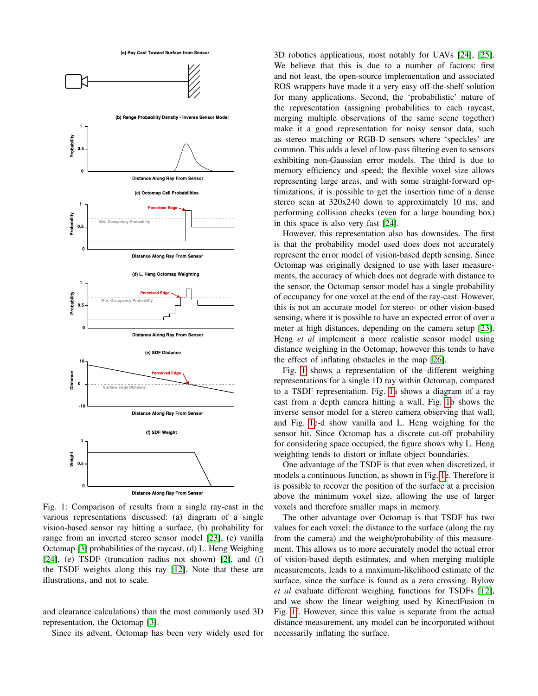<span id="page-3-0"></span>

Fig. 1: Comparison of results from a single ray-cast in the various representations discussed: (a) diagram of a single vision-based sensor ray hitting a surface, (b) probability for range from an inverted stereo sensor model [\[23\]](#page-6-14), (c) vanilla Octomap [\[3\]](#page-5-2) probabilities of the raycast, (d) L. Heng Weighing [\[24\]](#page-6-15), (e) TSDF (truncation radius not shown) [\[2\]](#page-5-1), and (f) the TSDF weights along this ray [\[12\]](#page-6-3). Note that these are illustrations, and not to scale.

and clearance calculations) than the most commonly used 3D representation, the Octomap [\[3\]](#page-5-2).

Since its advent, Octomap has been very widely used for

3D robotics applications, most notably for UAVs [\[24\]](#page-6-15), [\[25\]](#page-6-16). We believe that this is due to a number of factors: first and not least, the open-source implementation and associated ROS wrappers have made it a very easy off-the-shelf solution for many applications. Second, the 'probabilistic' nature of the representation (assigning probabilities to each raycast, merging multiple observations of the same scene together) make it a good representation for noisy sensor data, such as stereo matching or RGB-D sensors where 'speckles' are common. This adds a level of low-pass filtering even to sensors exhibiting non-Gaussian error models. The third is due to memory efficiency and speed: the flexible voxel size allows representing large areas, and with some straight-forward optimizations, it is possible to get the insertion time of a dense stereo scan at 320x240 down to approximately 10 ms, and performing collision checks (even for a large bounding box) in this space is also very fast [\[24\]](#page-6-15).

However, this representation also has downsides. The first is that the probability model used does does not accurately represent the error model of vision-based depth sensing. Since Octomap was originally designed to use with laser measurements, the accuracy of which does not degrade with distance to the sensor, the Octomap sensor model has a single probability of occupancy for one voxel at the end of the ray-cast. However, this is not an accurate model for stereo- or other vision-based sensing, where it is possible to have an expected error of over a meter at high distances, depending on the camera setup [\[23\]](#page-6-14). Heng *et al* implement a more realistic sensor model using distance weighing in the Octomap, however this tends to have the effect of inflating obstacles in the map [\[26\]](#page-6-17).

Fig. [1](#page-3-0) shows a representation of the different weighing representations for a single 1D ray within Octomap, compared to a TSDF representation. Fig. [1a](#page-3-0) shows a diagram of a ray cast from a depth camera hitting a wall, Fig. [1b](#page-3-0) shows the inverse sensor model for a stereo camera observing that wall, and Fig. [1c](#page-3-0)-d show vanilla and L. Heng weighing for the sensor hit. Since Octomap has a discrete cut-off probability for considering space occupied, the figure shows why L. Heng weighting tends to distort or inflate object boundaries.

One advantage of the TSDF is that even when discretized, it models a continuous function, as shown in Fig. [1e](#page-3-0). Therefore it is possible to recover the position of the surface at a precision above the minimum voxel size, allowing the use of larger voxels and therefore smaller maps in memory.

The other advantage over Octomap is that TSDF has two values for each voxel: the distance to the surface (along the ray from the camera) and the weight/probability of this measurement. This allows us to more accurately model the actual error of vision-based depth estimates, and when merging multiple measurements, leads to a maximum-likelihood estimate of the surface, since the surface is found as a zero crossing. Bylow *et al* evaluate different weighing functions for TSDFs [\[12\]](#page-6-3), and we show the linear weighing used by KinectFusion in Fig. [1f](#page-3-0). However, since this value is separate from the actual distance measurement, any model can be incorporated without necessarily inflating the surface.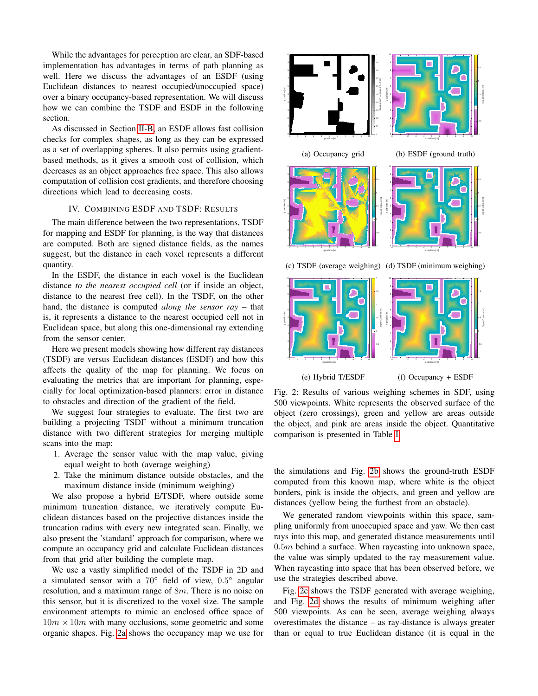While the advantages for perception are clear, an SDF-based implementation has advantages in terms of path planning as well. Here we discuss the advantages of an ESDF (using Euclidean distances to nearest occupied/unoccupied space) over a binary occupancy-based representation. We will discuss how we can combine the TSDF and ESDF in the following section.

As discussed in Section [II-B,](#page-2-0) an ESDF allows fast collision checks for complex shapes, as long as they can be expressed as a set of overlapping spheres. It also permits using gradientbased methods, as it gives a smooth cost of collision, which decreases as an object approaches free space. This also allows computation of collision cost gradients, and therefore choosing directions which lead to decreasing costs.

# IV. COMBINING ESDF AND TSDF: RESULTS

The main difference between the two representations, TSDF for mapping and ESDF for planning, is the way that distances are computed. Both are signed distance fields, as the names suggest, but the distance in each voxel represents a different quantity.

In the ESDF, the distance in each voxel is the Euclidean distance *to the nearest occupied cell* (or if inside an object, distance to the nearest free cell). In the TSDF, on the other hand, the distance is computed *along the sensor ray* – that is, it represents a distance to the nearest occupied cell not in Euclidean space, but along this one-dimensional ray extending from the sensor center.

Here we present models showing how different ray distances (TSDF) are versus Euclidean distances (ESDF) and how this affects the quality of the map for planning. We focus on evaluating the metrics that are important for planning, especially for local optimization-based planners: error in distance to obstacles and direction of the gradient of the field.

We suggest four strategies to evaluate. The first two are building a projecting TSDF without a minimum truncation distance with two different strategies for merging multiple scans into the map:

- 1. Average the sensor value with the map value, giving equal weight to both (average weighing)
- 2. Take the minimum distance outside obstacles, and the maximum distance inside (minimum weighing)

We also propose a hybrid E/TSDF, where outside some minimum truncation distance, we iteratively compute Euclidean distances based on the projective distances inside the truncation radius with every new integrated scan. Finally, we also present the 'standard' approach for comparison, where we compute an occupancy grid and calculate Euclidean distances from that grid after building the complete map.

We use a vastly simplified model of the TSDF in 2D and a simulated sensor with a  $70^{\circ}$  field of view,  $0.5^{\circ}$  angular resolution, and a maximum range of 8m. There is no noise on this sensor, but it is discretized to the voxel size. The sample environment attempts to mimic an enclosed office space of  $10m \times 10m$  with many occlusions, some geometric and some organic shapes. Fig. [2a](#page-4-0) shows the occupancy map we use for

<span id="page-4-0"></span>



Fig. 2: Results of various weighing schemes in SDF, using 500 viewpoints. White represents the observed surface of the object (zero crossings), green and yellow are areas outside the object, and pink are areas inside the object. Quantitative comparison is presented in Table [I.](#page-5-8)

the simulations and Fig. [2b](#page-4-0) shows the ground-truth ESDF computed from this known map, where white is the object borders, pink is inside the objects, and green and yellow are distances (yellow being the furthest from an obstacle).

We generated random viewpoints within this space, sampling uniformly from unoccupied space and yaw. We then cast rays into this map, and generated distance measurements until  $0.5m$  behind a surface. When raycasting into unknown space, the value was simply updated to the ray measurement value. When raycasting into space that has been observed before, we use the strategies described above.

Fig. [2c](#page-4-0) shows the TSDF generated with average weighing, and Fig. [2d](#page-4-0) shows the results of minimum weighing after 500 viewpoints. As can be seen, average weighing always overestimates the distance – as ray-distance is always greater than or equal to true Euclidean distance (it is equal in the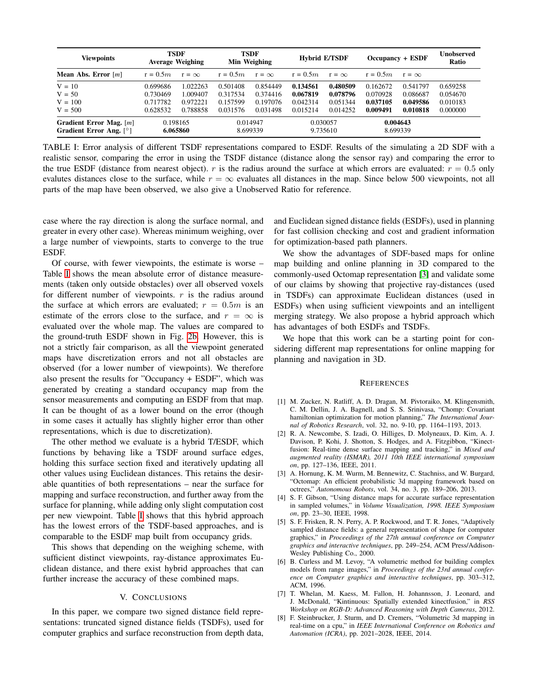<span id="page-5-8"></span>

| <b>Viewpoints</b>                                    | <b>TSDF</b><br><b>Average Weighing</b> |              | <b>TSDF</b><br>Min Weighing |              | <b>Hybrid E/TSDF</b> |              | Occupancy + ESDF     |              | <b>Unobserved</b><br>Ratio |
|------------------------------------------------------|----------------------------------------|--------------|-----------------------------|--------------|----------------------|--------------|----------------------|--------------|----------------------------|
| Mean Abs. Error $[m]$                                | $r = 0.5m$                             | $r = \infty$ | $r = 0.5m$                  | $r = \infty$ | $r = 0.5m$           | $r = \infty$ | $r = 0.5m$           | $r = \infty$ |                            |
| $V = 10$                                             | 0.699686                               | 1.022263     | 0.501408                    | 0.854449     | 0.134561             | 0.480509     | 0.162672             | 0.541797     | 0.659258                   |
| $V = 50$                                             | 0.730469                               | 1.009407     | 0.317534                    | 0.374416     | 0.067819             | 0.078796     | 0.070928             | 0.086687     | 0.054670                   |
| $V = 100$                                            | 0.717782                               | 0.972221     | 0.157599                    | 0.197076     | 0.042314             | 0.051344     | 0.037105             | 0.049586     | 0.010183                   |
| $V = 500$                                            | 0.628532                               | 0.788858     | 0.031576                    | 0.031498     | 0.015214             | 0.014252     | 0.009491             | 0.010818     | 0.000000                   |
| Gradient Error Mag. $[m]$<br>Gradient Error Ang. [°] | 0.198165<br>6.065860                   |              | 0.014947<br>8.699339        |              | 0.030057<br>9.735610 |              | 0.004643<br>8.699339 |              |                            |

TABLE I: Error analysis of different TSDF representations compared to ESDF. Results of the simulating a 2D SDF with a realistic sensor, comparing the error in using the TSDF distance (distance along the sensor ray) and comparing the error to the true ESDF (distance from nearest object). r is the radius around the surface at which errors are evaluated:  $r = 0.5$  only evalutes distances close to the surface, while  $r = \infty$  evaluates all distances in the map. Since below 500 viewpoints, not all parts of the map have been observed, we also give a Unobserved Ratio for reference.

case where the ray direction is along the surface normal, and greater in every other case). Whereas minimum weighing, over a large number of viewpoints, starts to converge to the true ESDF.

Of course, with fewer viewpoints, the estimate is worse – Table [I](#page-5-8) shows the mean absolute error of distance measurements (taken only outside obstacles) over all observed voxels for different number of viewpoints.  $r$  is the radius around the surface at which errors are evaluated;  $r = 0.5m$  is an estimate of the errors close to the surface, and  $r = \infty$  is evaluated over the whole map. The values are compared to the ground-truth ESDF shown in Fig. [2b.](#page-4-0) However, this is not a strictly fair comparison, as all the viewpoint generated maps have discretization errors and not all obstacles are observed (for a lower number of viewpoints). We therefore also present the results for "Occupancy + ESDF", which was generated by creating a standard occupancy map from the sensor measurements and computing an ESDF from that map. It can be thought of as a lower bound on the error (though in some cases it actually has slightly higher error than other representations, which is due to discretization).

The other method we evaluate is a hybrid T/ESDF, which functions by behaving like a TSDF around surface edges, holding this surface section fixed and iteratively updating all other values using Euclidean distances. This retains the desirable quantities of both representations – near the surface for mapping and surface reconstruction, and further away from the surface for planning, while adding only slight computation cost per new viewpoint. Table [I](#page-5-8) shows that this hybrid approach has the lowest errors of the TSDF-based approaches, and is comparable to the ESDF map built from occupancy grids.

This shows that depending on the weighing scheme, with sufficient distinct viewpoints, ray-distance approximates Euclidean distance, and there exist hybrid approaches that can further increase the accuracy of these combined maps.

# V. CONCLUSIONS

In this paper, we compare two signed distance field representations: truncated signed distance fields (TSDFs), used for computer graphics and surface reconstruction from depth data, and Euclidean signed distance fields (ESDFs), used in planning for fast collision checking and cost and gradient information for optimization-based path planners.

We show the advantages of SDF-based maps for online map building and online planning in 3D compared to the commonly-used Octomap representation [\[3\]](#page-5-2) and validate some of our claims by showing that projective ray-distances (used in TSDFs) can approximate Euclidean distances (used in ESDFs) when using sufficient viewpoints and an intelligent merging strategy. We also propose a hybrid approach which has advantages of both ESDFs and TSDFs.

We hope that this work can be a starting point for considering different map representations for online mapping for planning and navigation in 3D.

#### **REFERENCES**

- <span id="page-5-0"></span>[1] M. Zucker, N. Ratliff, A. D. Dragan, M. Pivtoraiko, M. Klingensmith, C. M. Dellin, J. A. Bagnell, and S. S. Srinivasa, "Chomp: Covariant hamiltonian optimization for motion planning," *The International Journal of Robotics Research*, vol. 32, no. 9-10, pp. 1164–1193, 2013.
- <span id="page-5-1"></span>[2] R. A. Newcombe, S. Izadi, O. Hilliges, D. Molyneaux, D. Kim, A. J. Davison, P. Kohi, J. Shotton, S. Hodges, and A. Fitzgibbon, "Kinectfusion: Real-time dense surface mapping and tracking," in *Mixed and augmented reality (ISMAR), 2011 10th IEEE international symposium on*, pp. 127–136, IEEE, 2011.
- <span id="page-5-2"></span>[3] A. Hornung, K. M. Wurm, M. Bennewitz, C. Stachniss, and W. Burgard, "Octomap: An efficient probabilistic 3d mapping framework based on octrees," *Autonomous Robots*, vol. 34, no. 3, pp. 189–206, 2013.
- <span id="page-5-3"></span>[4] S. F. Gibson, "Using distance maps for accurate surface representation in sampled volumes," in *Volume Visualization, 1998. IEEE Symposium on*, pp. 23–30, IEEE, 1998.
- <span id="page-5-4"></span>[5] S. F. Frisken, R. N. Perry, A. P. Rockwood, and T. R. Jones, "Adaptively sampled distance fields: a general representation of shape for computer graphics," in *Proceedings of the 27th annual conference on Computer graphics and interactive techniques*, pp. 249–254, ACM Press/Addison-Wesley Publishing Co., 2000.
- <span id="page-5-5"></span>[6] B. Curless and M. Levoy, "A volumetric method for building complex models from range images," in *Proceedings of the 23rd annual conference on Computer graphics and interactive techniques*, pp. 303–312, ACM, 1996.
- <span id="page-5-6"></span>[7] T. Whelan, M. Kaess, M. Fallon, H. Johannsson, J. Leonard, and J. McDonald, "Kintinuous: Spatially extended kinectfusion," in *RSS Workshop on RGB-D: Advanced Reasoning with Depth Cameras*, 2012.
- <span id="page-5-7"></span>[8] F. Steinbrucker, J. Sturm, and D. Cremers, "Volumetric 3d mapping in real-time on a cpu," in *IEEE International Conference on Robotics and Automation (ICRA)*, pp. 2021–2028, IEEE, 2014.